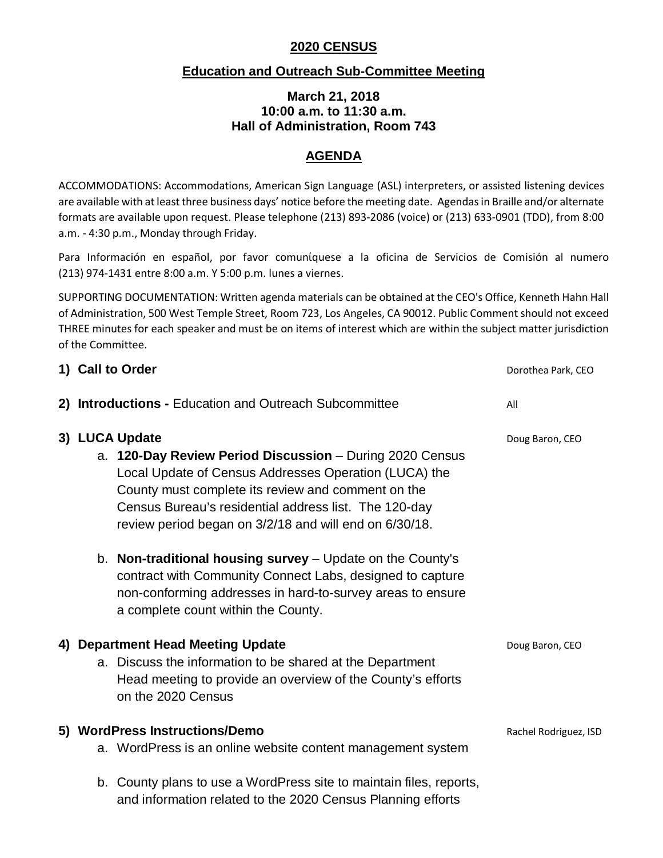# **2020 CENSUS**

## **Education and Outreach Sub-Committee Meeting**

#### **March 21, 2018 10:00 a.m. to 11:30 a.m. Hall of Administration, Room 743**

## **AGENDA**

ACCOMMODATIONS: Accommodations, American Sign Language (ASL) interpreters, or assisted listening devices are available with at least three business days' notice before the meeting date. Agendas in Braille and/or alternate formats are available upon request. Please telephone (213) 893-2086 (voice) or (213) 633-0901 (TDD), from 8:00 a.m. - 4:30 p.m., Monday through Friday.

Para Información en español, por favor comunίquese a la oficina de Servicios de Comisión al numero (213) 974-1431 entre 8:00 a.m. Y 5:00 p.m. lunes a viernes.

SUPPORTING DOCUMENTATION: Written agenda materials can be obtained at the CEO's Office, Kenneth Hahn Hall of Administration, 500 West Temple Street, Room 723, Los Angeles, CA 90012. Public Comment should not exceed THREE minutes for each speaker and must be on items of interest which are within the subject matter jurisdiction of the Committee.

| 1) Call to Order                                                                                                                                                                                                                                                                                             | Dorothea Park, CEO    |
|--------------------------------------------------------------------------------------------------------------------------------------------------------------------------------------------------------------------------------------------------------------------------------------------------------------|-----------------------|
| 2) Introductions - Education and Outreach Subcommittee                                                                                                                                                                                                                                                       | All                   |
| 3) LUCA Update<br>a. 120-Day Review Period Discussion - During 2020 Census<br>Local Update of Census Addresses Operation (LUCA) the<br>County must complete its review and comment on the<br>Census Bureau's residential address list. The 120-day<br>review period began on 3/2/18 and will end on 6/30/18. | Doug Baron, CEO       |
| b. Non-traditional housing survey - Update on the County's<br>contract with Community Connect Labs, designed to capture<br>non-conforming addresses in hard-to-survey areas to ensure<br>a complete count within the County.                                                                                 |                       |
| 4) Department Head Meeting Update<br>a. Discuss the information to be shared at the Department<br>Head meeting to provide an overview of the County's efforts<br>on the 2020 Census                                                                                                                          | Doug Baron, CEO       |
| 5) WordPress Instructions/Demo<br>a. WordPress is an online website content management system                                                                                                                                                                                                                | Rachel Rodriguez, ISD |
| b. County plans to use a WordPress site to maintain files, reports,<br>and information related to the 2020 Census Planning efforts                                                                                                                                                                           |                       |